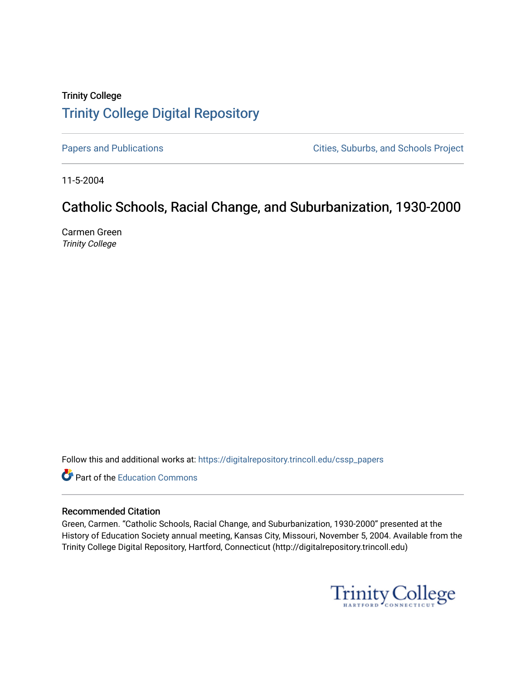## Trinity College [Trinity College Digital Repository](https://digitalrepository.trincoll.edu/)

[Papers and Publications](https://digitalrepository.trincoll.edu/cssp_papers) **Papers** and Publications **Cities**, Suburbs, and Schools Project

11-5-2004

# Catholic Schools, Racial Change, and Suburbanization, 1930-2000

Carmen Green Trinity College

Follow this and additional works at: [https://digitalrepository.trincoll.edu/cssp\\_papers](https://digitalrepository.trincoll.edu/cssp_papers?utm_source=digitalrepository.trincoll.edu%2Fcssp_papers%2F13&utm_medium=PDF&utm_campaign=PDFCoverPages) 

Part of the [Education Commons](http://network.bepress.com/hgg/discipline/784?utm_source=digitalrepository.trincoll.edu%2Fcssp_papers%2F13&utm_medium=PDF&utm_campaign=PDFCoverPages)

#### Recommended Citation

Green, Carmen. "Catholic Schools, Racial Change, and Suburbanization, 1930-2000" presented at the History of Education Society annual meeting, Kansas City, Missouri, November 5, 2004. Available from the Trinity College Digital Repository, Hartford, Connecticut (http://digitalrepository.trincoll.edu)

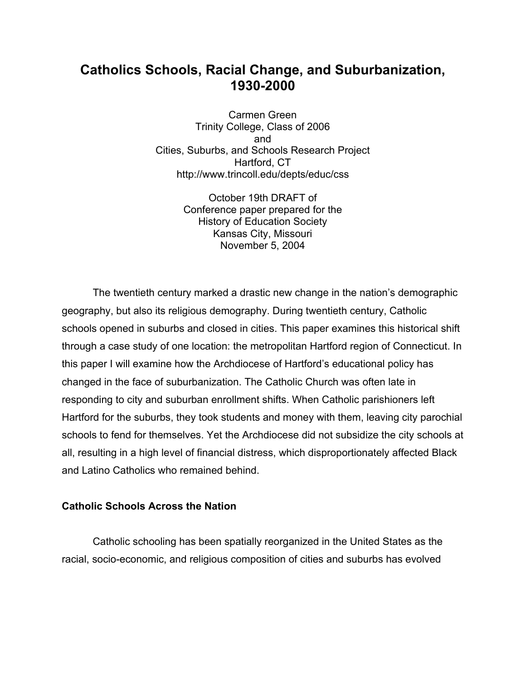## **Catholics Schools, Racial Change, and Suburbanization, 1930-2000**

Carmen Green Trinity College, Class of 2006 and Cities, Suburbs, and Schools Research Project Hartford, CT http://www.trincoll.edu/depts/educ/css

> October 19th DRAFT of Conference paper prepared for the History of Education Society Kansas City, Missouri November 5, 2004

The twentieth century marked a drastic new change in the nation's demographic geography, but also its religious demography. During twentieth century, Catholic schools opened in suburbs and closed in cities. This paper examines this historical shift through a case study of one location: the metropolitan Hartford region of Connecticut. In this paper I will examine how the Archdiocese of Hartford's educational policy has changed in the face of suburbanization. The Catholic Church was often late in responding to city and suburban enrollment shifts. When Catholic parishioners left Hartford for the suburbs, they took students and money with them, leaving city parochial schools to fend for themselves. Yet the Archdiocese did not subsidize the city schools at all, resulting in a high level of financial distress, which disproportionately affected Black and Latino Catholics who remained behind.

#### **Catholic Schools Across the Nation**

Catholic schooling has been spatially reorganized in the United States as the racial, socio-economic, and religious composition of cities and suburbs has evolved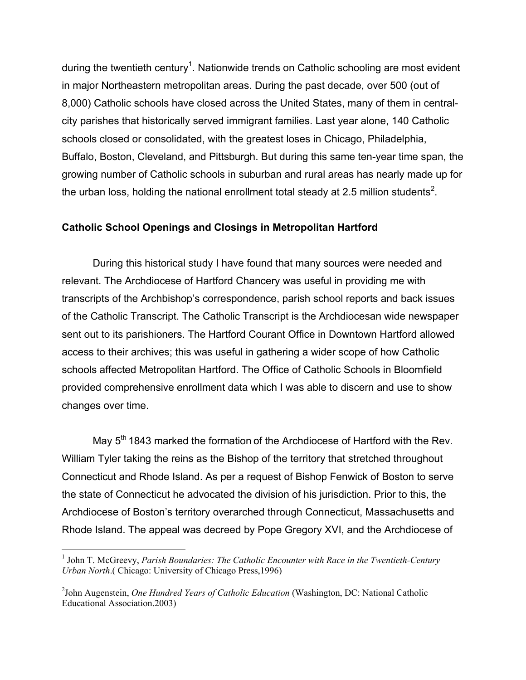during the twentieth century<sup>1</sup>. Nationwide trends on Catholic schooling are most evident in major Northeastern metropolitan areas. During the past decade, over 500 (out of 8,000) Catholic schools have closed across the United States, many of them in centralcity parishes that historically served immigrant families. Last year alone, 140 Catholic schools closed or consolidated, with the greatest loses in Chicago, Philadelphia, Buffalo, Boston, Cleveland, and Pittsburgh. But during this same ten-year time span, the growing number of Catholic schools in suburban and rural areas has nearly made up for the urban loss, holding the national enrollment total steady at 2.5 million students<sup>2</sup>.

### **Catholic School Openings and Closings in Metropolitan Hartford**

During this historical study I have found that many sources were needed and relevant. The Archdiocese of Hartford Chancery was useful in providing me with transcripts of the Archbishop's correspondence, parish school reports and back issues of the Catholic Transcript. The Catholic Transcript is the Archdiocesan wide newspaper sent out to its parishioners. The Hartford Courant Office in Downtown Hartford allowed access to their archives; this was useful in gathering a wider scope of how Catholic schools affected Metropolitan Hartford. The Office of Catholic Schools in Bloomfield provided comprehensive enrollment data which I was able to discern and use to show changes over time.

May 5<sup>th</sup> 1843 marked the formation of the Archdiocese of Hartford with the Rev. William Tyler taking the reins as the Bishop of the territory that stretched throughout Connecticut and Rhode Island. As per a request of Bishop Fenwick of Boston to serve the state of Connecticut he advocated the division of his jurisdiction. Prior to this, the Archdiocese of Boston's territory overarched through Connecticut, Massachusetts and Rhode Island. The appeal was decreed by Pope Gregory XVI, and the Archdiocese of

 $\frac{1}{1}$ <sup>1</sup> John T. McGreevy, *Parish Boundaries: The Catholic Encounter with Race in the Twentieth-Century Urban North*.( Chicago: University of Chicago Press,1996)

<sup>2</sup> John Augenstein, *One Hundred Years of Catholic Education* (Washington, DC: National Catholic Educational Association.2003)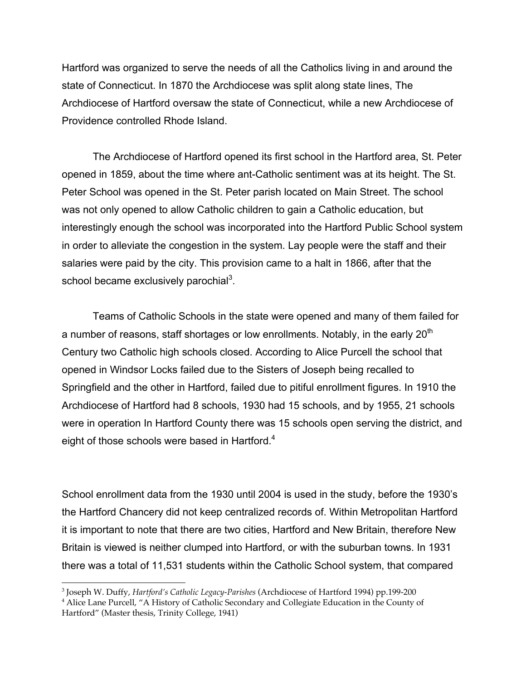Hartford was organized to serve the needs of all the Catholics living in and around the state of Connecticut. In 1870 the Archdiocese was split along state lines, The Archdiocese of Hartford oversaw the state of Connecticut, while a new Archdiocese of Providence controlled Rhode Island.

The Archdiocese of Hartford opened its first school in the Hartford area, St. Peter opened in 1859, about the time where ant-Catholic sentiment was at its height. The St. Peter School was opened in the St. Peter parish located on Main Street. The school was not only opened to allow Catholic children to gain a Catholic education, but interestingly enough the school was incorporated into the Hartford Public School system in order to alleviate the congestion in the system. Lay people were the staff and their salaries were paid by the city. This provision came to a halt in 1866, after that the school became exclusively parochial $3$ .

Teams of Catholic Schools in the state were opened and many of them failed for a number of reasons, staff shortages or low enrollments. Notably, in the early 20<sup>th</sup> Century two Catholic high schools closed. According to Alice Purcell the school that opened in Windsor Locks failed due to the Sisters of Joseph being recalled to Springfield and the other in Hartford, failed due to pitiful enrollment figures. In 1910 the Archdiocese of Hartford had 8 schools, 1930 had 15 schools, and by 1955, 21 schools were in operation In Hartford County there was 15 schools open serving the district, and eight of those schools were based in Hartford.<sup>4</sup>

School enrollment data from the 1930 until 2004 is used in the study, before the 1930's the Hartford Chancery did not keep centralized records of. Within Metropolitan Hartford it is important to note that there are two cities, Hartford and New Britain, therefore New Britain is viewed is neither clumped into Hartford, or with the suburban towns. In 1931 there was a total of 11,531 students within the Catholic School system, that compared

<sup>&</sup>lt;sup>-</sup><br>3 Joseph W. Duffy, *Hartford's Catholic Legacy-Parishes* (Archdiocese of Hartford 1994) pp.199-200

<sup>&</sup>lt;sup>4</sup> Alice Lane Purcell, "A History of Catholic Secondary and Collegiate Education in the County of Hartford" (Master thesis, Trinity College, 1941)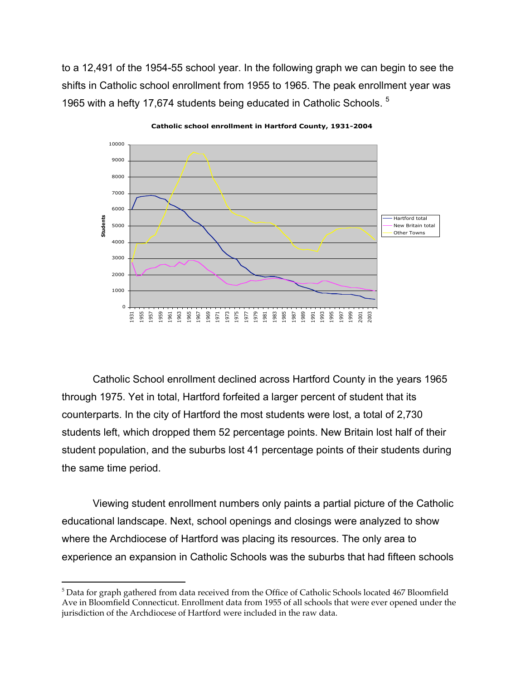to a 12,491 of the 1954-55 school year. In the following graph we can begin to see the shifts in Catholic school enrollment from 1955 to 1965. The peak enrollment year was 1965 with a hefty 17,674 students being educated in Catholic Schools. <sup>5</sup>



**Catholic school enrollment in Hartford County, 1931-2004**

Catholic School enrollment declined across Hartford County in the years 1965 through 1975. Yet in total, Hartford forfeited a larger percent of student that its counterparts. In the city of Hartford the most students were lost, a total of 2,730 students left, which dropped them 52 percentage points. New Britain lost half of their student population, and the suburbs lost 41 percentage points of their students during the same time period.

Viewing student enrollment numbers only paints a partial picture of the Catholic educational landscape. Next, school openings and closings were analyzed to show where the Archdiocese of Hartford was placing its resources. The only area to experience an expansion in Catholic Schools was the suburbs that had fifteen schools

<sup>|&</sup>lt;br>5 <sup>5</sup> Data for graph gathered from data received from the Office of Catholic Schools located 467 Bloomfield Ave in Bloomfield Connecticut. Enrollment data from 1955 of all schools that were ever opened under the jurisdiction of the Archdiocese of Hartford were included in the raw data.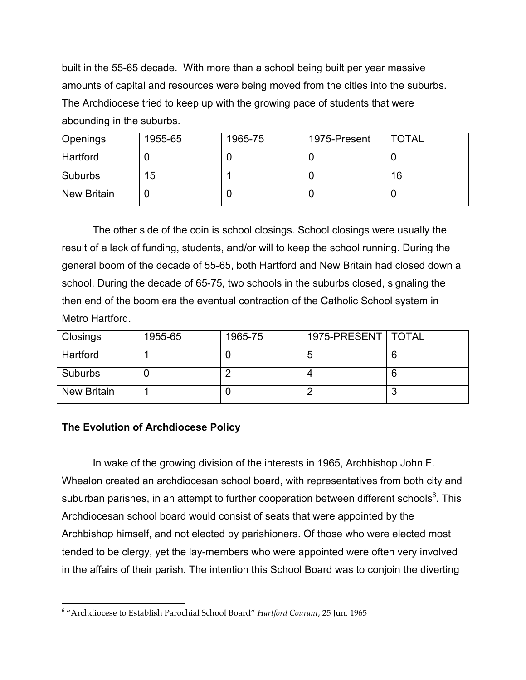built in the 55-65 decade. With more than a school being built per year massive amounts of capital and resources were being moved from the cities into the suburbs. The Archdiocese tried to keep up with the growing pace of students that were abounding in the suburbs.

| Openings           | 1955-65 | 1965-75 | 1975-Present | <b>TOTAL</b> |
|--------------------|---------|---------|--------------|--------------|
| Hartford           |         |         |              |              |
| Suburbs            | 15      |         |              | 16           |
| <b>New Britain</b> |         |         |              |              |

The other side of the coin is school closings. School closings were usually the result of a lack of funding, students, and/or will to keep the school running. During the general boom of the decade of 55-65, both Hartford and New Britain had closed down a school. During the decade of 65-75, two schools in the suburbs closed, signaling the then end of the boom era the eventual contraction of the Catholic School system in Metro Hartford.

| Closings           | 1955-65 | 1965-75 | 1975-PRESENT   TOTAL |  |
|--------------------|---------|---------|----------------------|--|
| Hartford           |         |         |                      |  |
| Suburbs            |         |         |                      |  |
| <b>New Britain</b> |         |         |                      |  |

## **The Evolution of Archdiocese Policy**

In wake of the growing division of the interests in 1965, Archbishop John F. Whealon created an archdiocesan school board, with representatives from both city and suburban parishes, in an attempt to further cooperation between different schools $6$ . This Archdiocesan school board would consist of seats that were appointed by the Archbishop himself, and not elected by parishioners. Of those who were elected most tended to be clergy, yet the lay-members who were appointed were often very involved in the affairs of their parish. The intention this School Board was to conjoin the diverting

 <sup>6</sup> "Archdiocese to Establish Parochial School Board" *Hartford Courant*, 25 Jun. 1965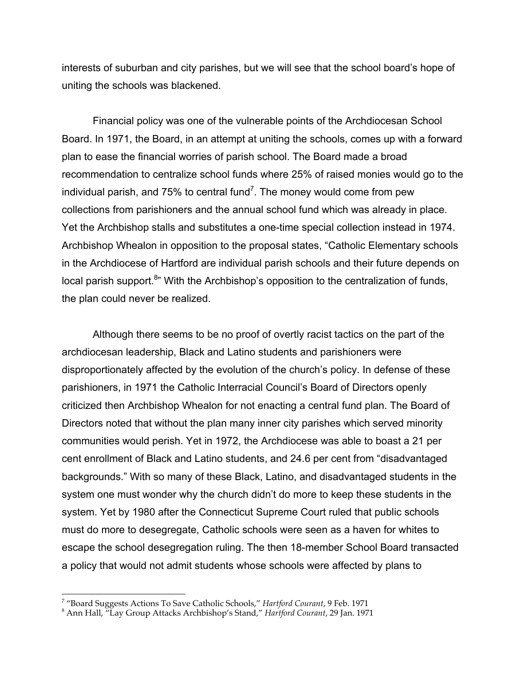interests of suburban and city parishes, but we will see that the school board's hope of uniting the schools was blackened.

Financial policy was one of the vulnerable points of the Archdiocesan School Board. In 1971, the Board, in an attempt at uniting the schools, comes up with a forward plan to ease the financial worries of parish school. The Board made a broad recommendation to centralize school funds where 25% of raised monies would go to the individual parish, and 75% to central fund<sup>7</sup>. The money would come from pew collections from parishioners and the annual school fund which was already in place. Yet the Archbishop stalls and substitutes a one-time special collection instead in 1974. Archbishop Whealon in opposition to the proposal states, "Catholic Elementary schools in the Archdiocese of Hartford are individual parish schools and their future depends on local parish support.<sup>8</sup>" With the Archbishop's opposition to the centralization of funds, the plan could never be realized.

Although there seems to be no proof of overtly racist tactics on the part of the archdiocesan leadership, Black and Latino students and parishioners were disproportionately affected by the evolution of the church's policy. In defense of these parishioners, in 1971 the Catholic Interracial Council's Board of Directors openly criticized then Archbishop Whealon for not enacting a central fund plan. The Board of Directors noted that without the plan many inner city parishes which served minority communities would perish. Yet in 1972, the Archdiocese was able to boast a 21 per cent enrollment of Black and Latino students, and 24.6 per cent from "disadvantaged backgrounds." With so many of these Black, Latino, and disadvantaged students in the system one must wonder why the church didn't do more to keep these students in the system. Yet by 1980 after the Connecticut Supreme Court ruled that public schools must do more to desegregate, Catholic schools were seen as a haven for whites to escape the school desegregation ruling. The then 18-member School Board transacted a policy that would not admit students whose schools were affected by plans to

<sup>-&</sup>lt;br>7

<sup>&</sup>lt;sup>7</sup> "Board Suggests Actions To Save Catholic Schools*," Hartford Courant,* 9 Feb. 1971<br><sup>8</sup> Ann Hall, "Lay Group Attacks Archbishop's Stand," *Hartford Courant,* 29 Jan. 1971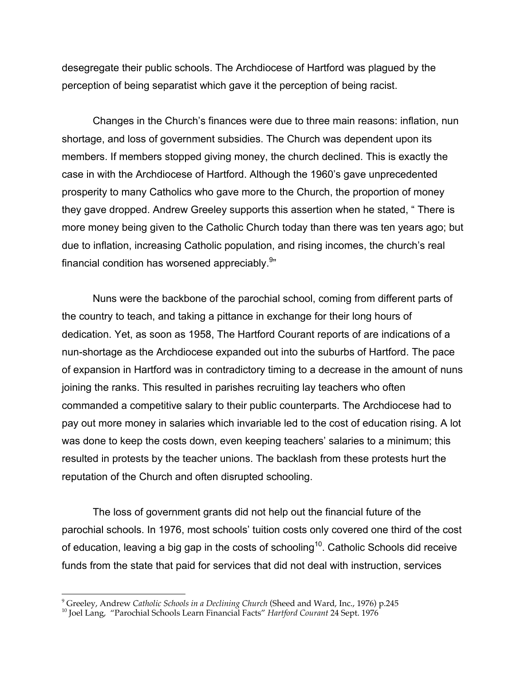desegregate their public schools. The Archdiocese of Hartford was plagued by the perception of being separatist which gave it the perception of being racist.

Changes in the Church's finances were due to three main reasons: inflation, nun shortage, and loss of government subsidies. The Church was dependent upon its members. If members stopped giving money, the church declined. This is exactly the case in with the Archdiocese of Hartford. Although the 1960's gave unprecedented prosperity to many Catholics who gave more to the Church, the proportion of money they gave dropped. Andrew Greeley supports this assertion when he stated, " There is more money being given to the Catholic Church today than there was ten years ago; but due to inflation, increasing Catholic population, and rising incomes, the church's real financial condition has worsened appreciably. $^{9*}$ 

Nuns were the backbone of the parochial school, coming from different parts of the country to teach, and taking a pittance in exchange for their long hours of dedication. Yet, as soon as 1958, The Hartford Courant reports of are indications of a nun-shortage as the Archdiocese expanded out into the suburbs of Hartford. The pace of expansion in Hartford was in contradictory timing to a decrease in the amount of nuns joining the ranks. This resulted in parishes recruiting lay teachers who often commanded a competitive salary to their public counterparts. The Archdiocese had to pay out more money in salaries which invariable led to the cost of education rising. A lot was done to keep the costs down, even keeping teachers' salaries to a minimum; this resulted in protests by the teacher unions. The backlash from these protests hurt the reputation of the Church and often disrupted schooling.

The loss of government grants did not help out the financial future of the parochial schools. In 1976, most schools' tuition costs only covered one third of the cost of education, leaving a big gap in the costs of schooling $^{\rm 10}$ . Catholic Schools did receive funds from the state that paid for services that did not deal with instruction, services

<sup>-&</sup>lt;br>9 <sup>9</sup> Greeley, Andrew *Catholic Schools in a Declining Church* (Sheed and Ward, Inc., 1976) p.245

Joel Lang, "Parochial Schools Learn Financial Facts" *Hartford Courant* 24 Sept. 1976